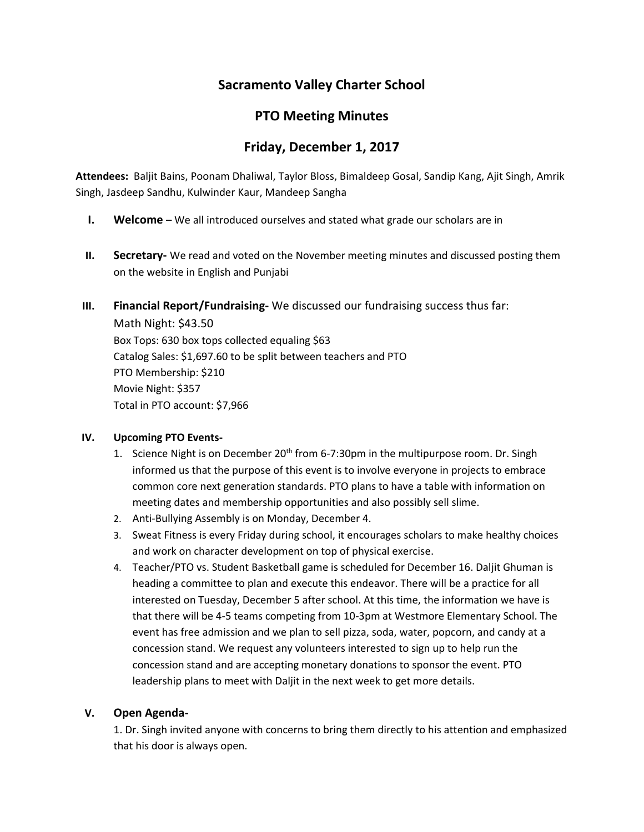# **Sacramento Valley Charter School**

### **PTO Meeting Minutes**

## **Friday, December 1, 2017**

**Attendees:** Baljit Bains, Poonam Dhaliwal, Taylor Bloss, Bimaldeep Gosal, Sandip Kang, Ajit Singh, Amrik Singh, Jasdeep Sandhu, Kulwinder Kaur, Mandeep Sangha

- **I. Welcome** We all introduced ourselves and stated what grade our scholars are in
- **II. Secretary-** We read and voted on the November meeting minutes and discussed posting them on the website in English and Punjabi

#### **III. Financial Report/Fundraising-** We discussed our fundraising success thus far:

Math Night: \$43.50 Box Tops: 630 box tops collected equaling \$63 Catalog Sales: \$1,697.60 to be split between teachers and PTO PTO Membership: \$210 Movie Night: \$357 Total in PTO account: \$7,966

#### **IV. Upcoming PTO Events-**

- 1. Science Night is on December  $20<sup>th</sup>$  from 6-7:30pm in the multipurpose room. Dr. Singh informed us that the purpose of this event is to involve everyone in projects to embrace common core next generation standards. PTO plans to have a table with information on meeting dates and membership opportunities and also possibly sell slime.
- 2. Anti-Bullying Assembly is on Monday, December 4.
- 3. Sweat Fitness is every Friday during school, it encourages scholars to make healthy choices and work on character development on top of physical exercise.
- 4. Teacher/PTO vs. Student Basketball game is scheduled for December 16. Daljit Ghuman is heading a committee to plan and execute this endeavor. There will be a practice for all interested on Tuesday, December 5 after school. At this time, the information we have is that there will be 4-5 teams competing from 10-3pm at Westmore Elementary School. The event has free admission and we plan to sell pizza, soda, water, popcorn, and candy at a concession stand. We request any volunteers interested to sign up to help run the concession stand and are accepting monetary donations to sponsor the event. PTO leadership plans to meet with Daljit in the next week to get more details.

#### **V. Open Agenda-**

1. Dr. Singh invited anyone with concerns to bring them directly to his attention and emphasized that his door is always open.